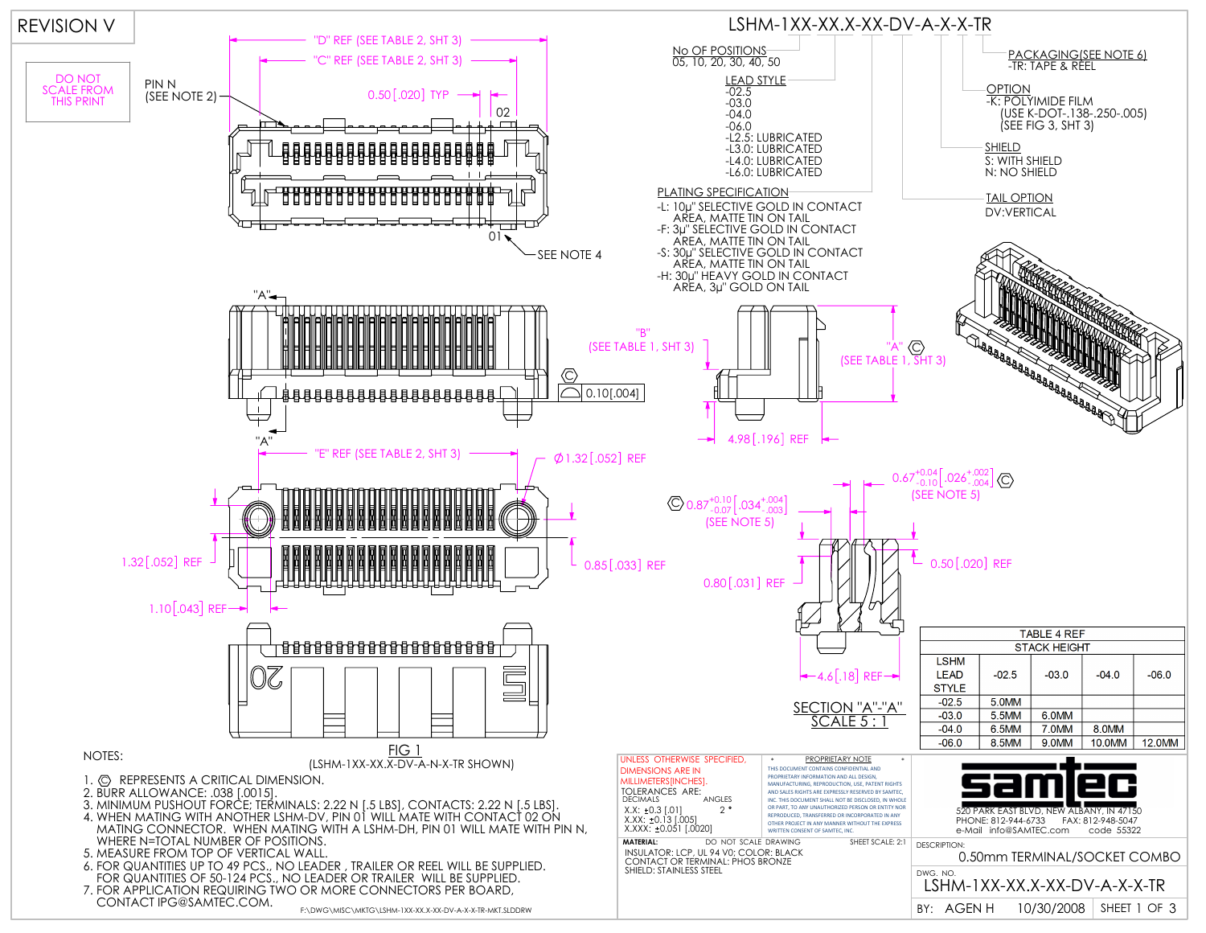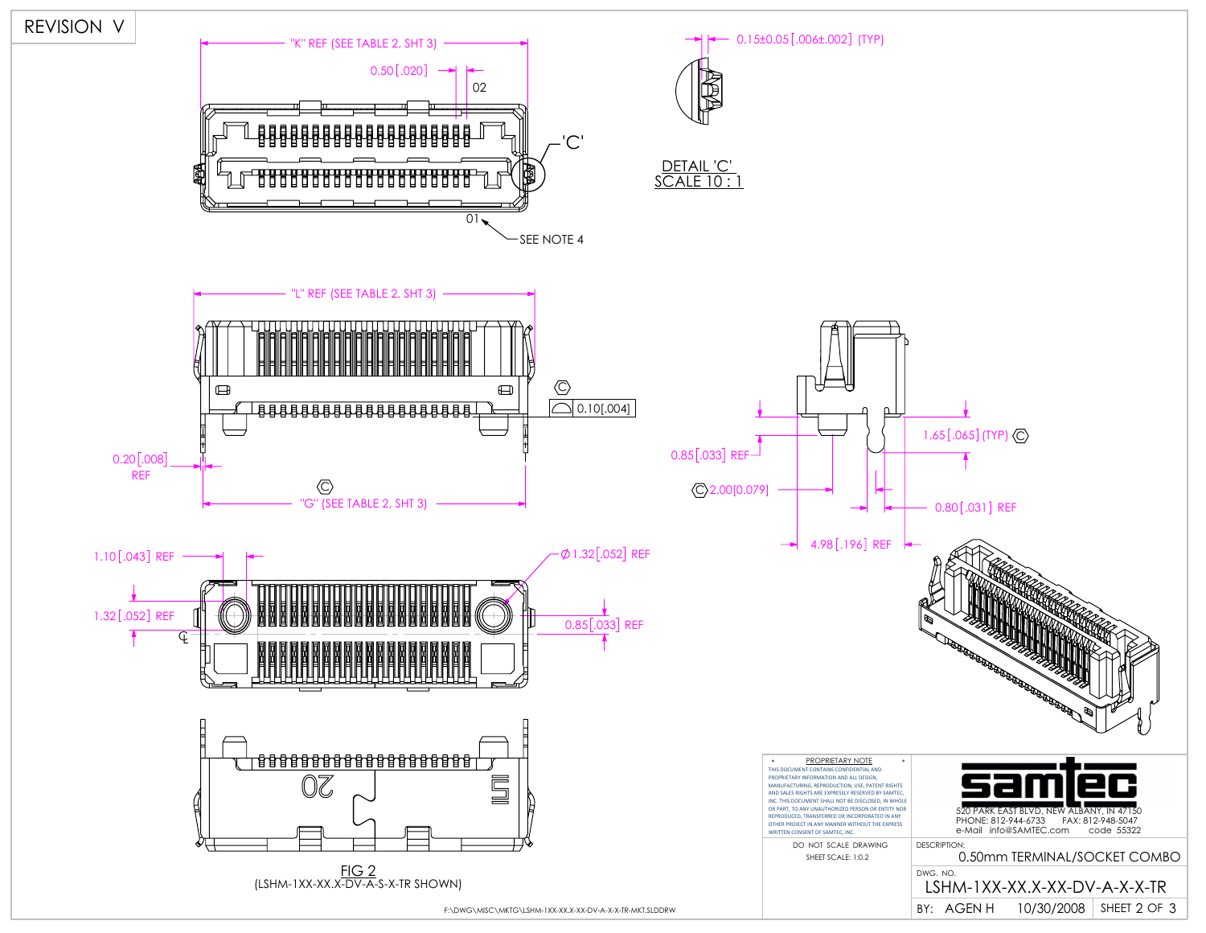